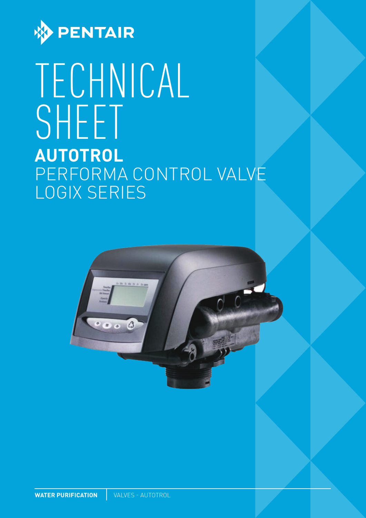

# TECHNICAL SHEET **AUTOTROL**  PERFORMA CONTROL VALVE LOGIX SERIES

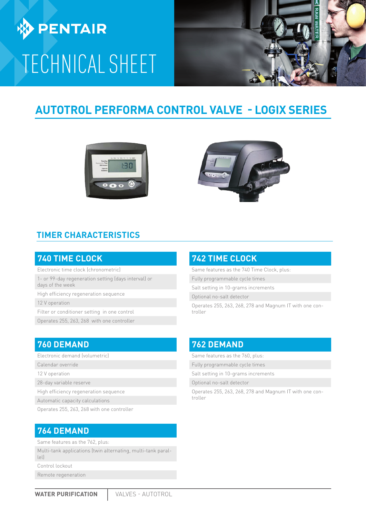

# TECHNICAL SHEET



# **AUTOTROL PERFORMA CONTROL VALVE - LOGIX SERIES**





### **TIMER CHARACTERISTICS**

#### **740 TIME CLOCK**

Electronic time clock (chronometric)

1- or 99-day regeneration setting (days interval) or days of the week

High efficiency regeneration sequence

12 V operation

Filter or conditioner setting in one control

Operates 255, 263, 268 with one controller

### **760 DEMAND**

- Electronic demand (volumetric)
- Calendar override
- 12 V operation

28-day variable reserve

High efficiency regeneration sequence

Automatic capacity calculations

Operates 255, 263, 268 with one controller

### **764 DEMAND**

Same features as the 762, plus:

Multi-tank applications (twin alternating, multi-tank parallel)

Control lockout

Remote regeneration

### **742 TIME CLOCK**

Same features as the 740 Time Clock, plus:

Fully programmable cycle times

Salt setting in 10-grams increments

Optional no-salt detector

Operates 255, 263, 268, 278 and Magnum IT with one controller

### **762 DEMAND**

Same features as the 760, plus:

Fully programmable cycle times

Salt setting in 10-grams increments

Optional no-salt detector

Operates 255, 263, 268, 278 and Magnum IT with one controller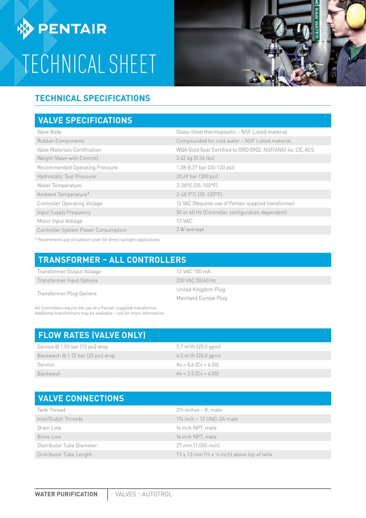**DENTAIR** 

# TECHNICAL SHEET



## **TECHNICAL SPECIFICATIONS**

### **VALVE SPECIFICATIONS**

| Valve Body                          | Glass-filled thermoplastic - NSF Listed material          |  |
|-------------------------------------|-----------------------------------------------------------|--|
| <b>Rubber Components</b>            | Compounded for cold water - NSF Listed material           |  |
| Valve Materials Certification       | WQA Gold Seal Certified to ORD 0902, NSF/ANSI 44, CE, ACS |  |
| Weight (Valve with Control)         | 2.42 kg (5.34 lbs)                                        |  |
| Recommended Operating Pressure      | 1.38-8.27 bar (20-120 psi)                                |  |
| <b>Hydrostatic Test Pressure</b>    | 20.69 bar (300 psi)                                       |  |
| Water Temperature                   | 2-38°C (35-100°F)                                         |  |
| Ambient Temperature*                | 2-48.9°C (35-120°F)                                       |  |
| <b>Controller Operating Voltage</b> | 12 VAC (Requires use of Pentair-supplied transformer)     |  |
| Input Supply Frequency              | 50 or 60 Hz (Controller configuration dependent)          |  |
| Motor Input Voltage                 | 12 VAC                                                    |  |
| Controller System Power Consumption | 3 W average                                               |  |

\* Recommend use of outdoor cover for direct sunlight applications

### **TRANSFORMER – ALL CONTROLLERS**

| Transformer Output Voltage | 12 VAC 150 mA        |  |
|----------------------------|----------------------|--|
| Transformer Input Options  | 230 VAC 50/60 Hz     |  |
| Transformer Plug Options   | United Kingdom Plug  |  |
|                            | Mainland Europe Plug |  |

All Controllers require the use of a Pentair-supplied transformer. Additional transformers may be available – call for more information.

| <b>FLOW RATES (VALVE ONLY)</b>    |                                       |
|-----------------------------------|---------------------------------------|
| Service @ 1.03 bar (15 psi) drop  | $5.7 \text{ m}^3\text{/h}$ (25.0 gpm) |
| Backwash @ 1.72 bar (25 psi) drop | $4.5 \text{ m}^3/h$ (20.0 gpm)        |
| Service                           | $Kv = 5.6$ $(Cv = 6.50)$              |
| <b>Backwash</b>                   | $Kv = 3.5$ $(Cv = 4.00)$              |

# **VALVE CONNECTIONS**

| Tank Thread               | $2\frac{1}{2}$ inches - 8, male                                        |  |
|---------------------------|------------------------------------------------------------------------|--|
| Inlet/Outlet Threads      | $1\frac{3}{4}$ inch - 12 UNC-2A male                                   |  |
| Drain Line                | 3/4 inch NPT, male                                                     |  |
| Brine Line                | % inch NPT, male                                                       |  |
| Distributor Tube Diameter | 27 mm (1.050 inch)                                                     |  |
| Distributor Tube Length   | $13 \pm 13$ mm ( $\frac{1}{2} \pm \frac{1}{2}$ inch) above top of tank |  |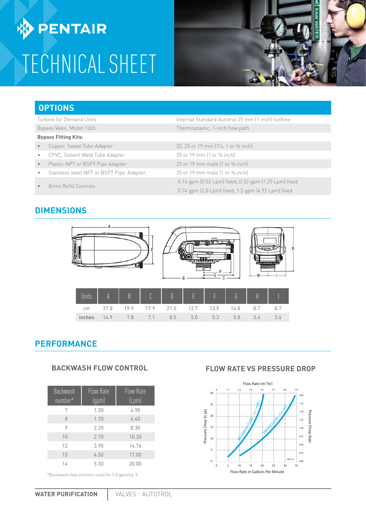**ENTAIR** 

# TECHNICAL SHEET



### **OPTIONS**

Turbine for Demand Units Internal Standard Autotrol 25 mm (1-inch) turbine

#### Bypass Valve, Model 1265 Thermoplastic, 1-inch flow path

- **Bypass Fitting Kits:**
- Copper, Sweat Tube Adapter 32, 25 or 19 mm (11/4, 1 or 3/4 inch)
- CPVC, Solvent Weld Tube Adapter 25 or 19 mm (1 or 3/4 inch)
- Plastic NPT or BSPT Pipe Adapter 25 or 19 mm male (1 or 3/4 inch)
- Stainless steel NPT or BSPT Pipe Adapter 25 or 19 mm male (1 or 3/4 inch)
- Brine Refill Controls 0.14 gpm (0.53 Lpm) fixed; 0.33 gpm (1.25 Lpm) fixed

### **DIMENSIONS**



inches 14.9 7.8 7.1 8.5 5.0 5.3 5.8 3.4 3.4

### **PERFORMANCE**

#### **BACKWASH FLOW CONTROL**

| <b>Backwash</b><br>number* | Flow Rate<br>(gpm) | <b>Flow Rate</b><br>$[{\mathsf{Lpm}}]$ |
|----------------------------|--------------------|----------------------------------------|
| 7                          | 1.30               | 4.90                                   |
| 8                          | 1.70               | 6.40                                   |
| 9                          | 2.20               | 8.30                                   |
| 10                         | 2.70               | 10.20                                  |
| 12                         | 3.90               | 14.76                                  |
| 13                         | 4.50               | 17.00                                  |
| 14                         | 5.30               | 20.00                                  |

\*Backwash flow controls sized for 5.0 gpm/sq. ft.

#### **FLOW RATE VS PRESSURE DROP**

0.74 gpm (2.8 Lpm) fixed; 1.3 gpm (4.92 Lpm) fixed

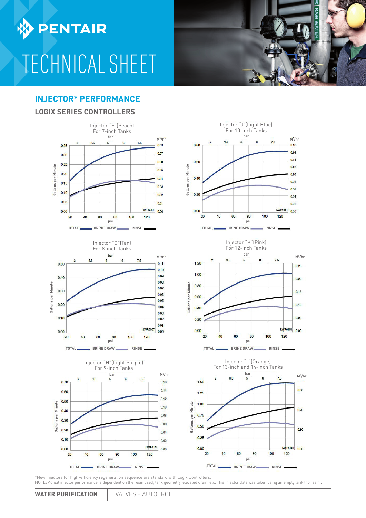**DENTAIR** 

# TECHNICAL SHEET

### **INJECTOR\* PERFORMANCE**

#### **LOGIX SERIES CONTROLLERS**













\*New injectors for high-efficiency regeneration sequence are standard with Logix Controllers. NOTE: Actual injector performance is dependent on the resin used, tank geometry, elevated drain, etc. This injector data was taken using an empty tank (no resin).